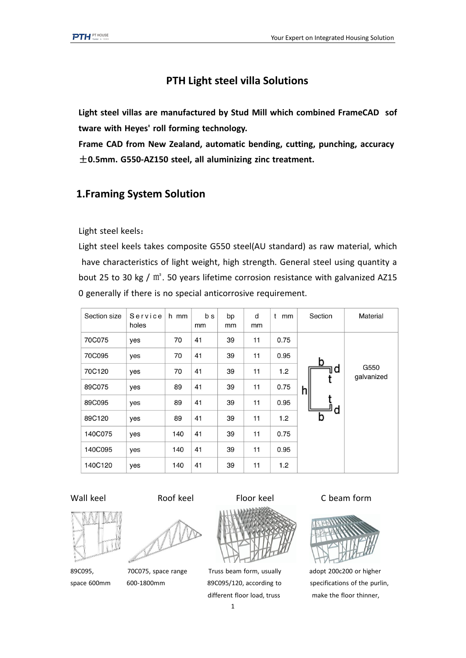## **PTH Light steel villa Solutions**

**Light steel villas are manufactured by Stud Mill which combined FrameCAD sof tware with Heyes' roll forming technology.**

**Frame CAD from New Zealand, automatic bending, cutting, punching, accuracy** ±**0.5mm. G550-AZ150 steel, all aluminizing zinc treatment.**

# **1.Framing System Solution**

Light steel keels:

Light steel keels takes composite G550 steel(AU standard) as raw material, which have characteristics of light weight, high strength. General steel using quantity a bout 25 to 30 kg / m<sup>2</sup>. 50 years lifetime corrosion resistance with galvanized AZ15 0 generally if there is no special anticorrosive requirement.

| Section size | Service<br>holes | h mm | b s<br>mm | bp<br>mm | d<br>mm | t<br>mm | Section | Material           |
|--------------|------------------|------|-----------|----------|---------|---------|---------|--------------------|
| 70C075       | yes              | 70   | 41        | 39       | 11      | 0.75    |         |                    |
| 70C095       | yes              | 70   | 41        | 39       | 11      | 0.95    | b       |                    |
| 70C120       | yes              | 70   | 41        | 39       | 11      | 1.2     | d       | G550<br>galvanized |
| 89C075       | yes              | 89   | 41        | 39       | 11      | 0.75    | h       |                    |
| 89C095       | yes              | 89   | 41        | 39       | 11      | 0.95    |         |                    |
| 89C120       | yes              | 89   | 41        | 39       | 11      | 1.2     | о<br>b  |                    |
| 140C075      | yes              | 140  | 41        | 39       | 11      | 0.75    |         |                    |
| 140C095      | yes              | 140  | 41        | 39       | 11      | 0.95    |         |                    |
| 140C120      | yes              | 140  | 41        | 39       | 11      | 1.2     |         |                    |







89C095, 70C075, space range Truss beam form, usually adopt 200c200 or higher different floor load, truss make the floor thinner,

Wall keel **Roof keel** Floor keel C beam form



space 600mm 600-1800mm 89C095/120, according to specifications of the purlin,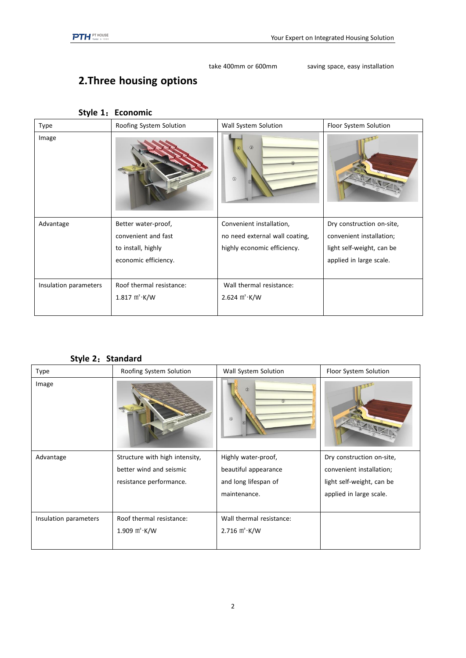take 400mm or 600mm saving space, easy installation

# **2.Three housing options**

| Type                  | Roofing System Solution  | Wall System Solution           | Floor System Solution     |
|-----------------------|--------------------------|--------------------------------|---------------------------|
| Image                 |                          | $\circledcirc$<br>$\circledS$  |                           |
| Advantage             | Better water-proof,      | Convenient installation,       | Dry construction on-site, |
|                       | convenient and fast      | no need external wall coating, | convenient installation;  |
|                       | to install, highly       | highly economic efficiency.    | light self-weight, can be |
|                       | economic efficiency.     |                                | applied in large scale.   |
|                       |                          |                                |                           |
| Insulation parameters | Roof thermal resistance: | Wall thermal resistance:       |                           |
|                       | 1.817 $m^2$ · K/W        | 2.624 $m^2$ · K/W              |                           |
|                       |                          |                                |                           |

### **Style 1**:**Economic**

|  | Style 2: Standard |  |
|--|-------------------|--|
|--|-------------------|--|

| Type                  | Roofing System Solution                                                              | Wall System Solution                                                                | Floor System Solution                                                                                         |
|-----------------------|--------------------------------------------------------------------------------------|-------------------------------------------------------------------------------------|---------------------------------------------------------------------------------------------------------------|
| Image                 |                                                                                      | $\circled{2}$<br>$\circledcirc$                                                     |                                                                                                               |
| Advantage             | Structure with high intensity,<br>better wind and seismic<br>resistance performance. | Highly water-proof,<br>beautiful appearance<br>and long lifespan of<br>maintenance. | Dry construction on-site,<br>convenient installation;<br>light self-weight, can be<br>applied in large scale. |
| Insulation parameters | Roof thermal resistance:<br>1.909 $m^2$ · K/W                                        | Wall thermal resistance:<br>2.716 $m^2$ · K/W                                       |                                                                                                               |